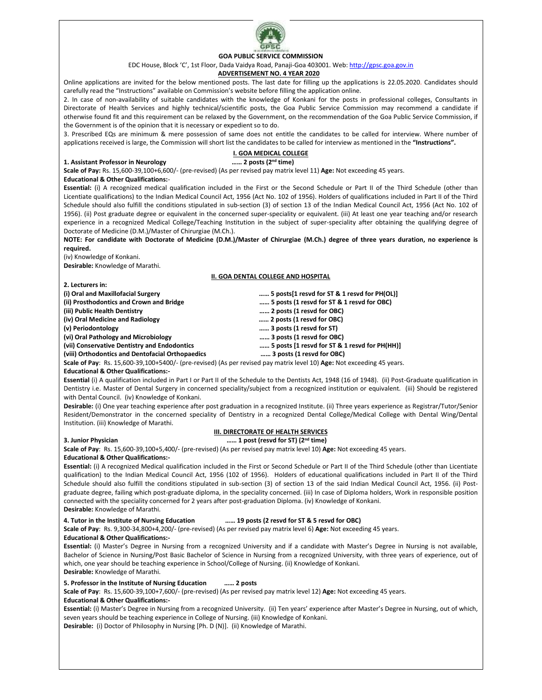

# **GOA PUBLIC SERVICE COMMISSION**

EDC House, Block 'C', 1st Floor, Dada Vaidya Road, Panaji-Goa 403001. Web[: http://gpsc.goa.gov.in](http://gpsc.goa.gov.in/)

# **ADVERTISEMENT NO. 4 YEAR 2020**

Online applications are invited for the below mentioned posts. The last date for filling up the applications is 22.05.2020. Candidates should carefully read the "Instructions" available on Commission's website before filling the application online.

2. In case of non-availability of suitable candidates with the knowledge of Konkani for the posts in professional colleges, Consultants in Directorate of Health Services and highly technical/scientific posts, the Goa Public Service Commission may recommend a candidate if otherwise found fit and this requirement can be relaxed by the Government, on the recommendation of the Goa Public Service Commission, if the Government is of the opinion that it is necessary or expedient so to do.

3. Prescribed EQs are minimum & mere possession of same does not entitle the candidates to be called for interview. Where number of applications received is large, the Commission will short list the candidates to be called for interview as mentioned in the **"Instructions".**

## **1. Assistant Professor in Neurology …… 2 posts (2nd time)**

**I. GOA MEDICAL COLLEGE**<br>...... 2 posts (2<sup>nd</sup> time) **Scale of Pay:** Rs. 15,600-39,100+6,600/- (pre-revised) (As per revised pay matrix level 11) **Age:** Not exceeding 45 years.

#### **Educational & Other Qualifications:**-

**Essential:** (i) A recognized medical qualification included in the First or the Second Schedule or Part II of the Third Schedule (other than Licentiate qualifications) to the Indian Medical Council Act, 1956 (Act No. 102 of 1956). Holders of qualifications included in Part II of the Third Schedule should also fulfill the conditions stipulated in sub-section (3) of section 13 of the Indian Medical Council Act, 1956 (Act No. 102 of 1956). (ii) Post graduate degree or equivalent in the concerned super-speciality or equivalent. (iii) At least one year teaching and/or research experience in a recognized Medical College/Teaching Institution in the subject of super-speciality after obtaining the qualifying degree of Doctorate of Medicine (D.M.)/Master of Chirurgiae (M.Ch.).

**NOTE: For candidate with Doctorate of Medicine (D.M.)/Master of Chirurgiae (M.Ch.) degree of three years duration, no experience is required.**

(iv) Knowledge of Konkani.

**2. Lecturers in:**

**Desirable:** Knowledge of Marathi.

#### **II. GOA DENTAL COLLEGE AND HOSPITAL**

| (i) Oral and Maxillofacial Surgery                                                                                     | 5 posts[1 resvd for ST & 1 resvd for PH(OL)]  |
|------------------------------------------------------------------------------------------------------------------------|-----------------------------------------------|
| (ii) Prosthodontics and Crown and Bridge                                                                               | 5 posts (1 resvd for ST & 1 resvd for OBC)    |
| (iii) Public Health Dentistry                                                                                          | 2 posts (1 resvd for OBC)                     |
| (iv) Oral Medicine and Radiology                                                                                       | 2 posts (1 resvd for OBC)                     |
| (v) Periodontology                                                                                                     | 3 posts (1 resvd for ST)                      |
| (vi) Oral Pathology and Microbiology                                                                                   | 3 posts (1 resvd for OBC)                     |
| (vii) Conservative Dentistry and Endodontics                                                                           | 5 posts [1 resvd for ST & 1 resvd for PH(HH)] |
| (viii) Orthodontics and Dentofacial Orthopaedics                                                                       | 3 posts (1 resvd for OBC)                     |
| Scale of Pay: Rs. 15,600-39,100+5400/- (pre-revised) (As per revised pay matrix level 10) Age: Not exceeding 45 years. |                                               |
|                                                                                                                        |                                               |

#### **Educational & Other Qualifications:-**

**Essential** (i) A qualification included in Part I or Part II of the Schedule to the Dentists Act, 1948 (16 of 1948). (ii) Post-Graduate qualification in Dentistry i.e. Master of Dental Surgery in concerned speciality/subject from a recognized institution or equivalent. (iii) Should be registered with Dental Council. (iv) Knowledge of Konkani.

**Desirable:** (i) One year teaching experience after post graduation in a recognized Institute. (ii) Three years experience as Registrar/Tutor/Senior Resident/Demonstrator in the concerned speciality of Dentistry in a recognized Dental College/Medical College with Dental Wing/Dental Institution. (iii) Knowledge of Marathi.

# **III. DIRECTORATE OF HEALTH SERVICES**

#### **3. Junior Physician …… 1 post (resvd for ST) (2nd time)**

**Scale of Pay**: Rs. 15,600-39,100+5,400/- (pre-revised) (As per revised pay matrix level 10) **Age:** Not exceeding 45 years. **Educational & Other Qualifications:-**

**Essential:** (i) A recognized Medical qualification included in the First or Second Schedule or Part II of the Third Schedule (other than Licentiate qualification) to the Indian Medical Council Act, 1956 (102 of 1956). Holders of educational qualifications included in Part II of the Third Schedule should also fulfill the conditions stipulated in sub-section (3) of section 13 of the said Indian Medical Council Act, 1956. (ii) Postgraduate degree, failing which post-graduate diploma, in the speciality concerned. (iii) In case of Diploma holders, Work in responsible position connected with the speciality concerned for 2 years after post-graduation Diploma. (iv) Knowledge of Konkani.

# **Desirable:** Knowledge of Marathi.

## **4. Tutor in the Institute of Nursing Education …… 19 posts (2 resvd for ST & 5 resvd for OBC)**

**Scale of Pay**: Rs. 9,300-34,800+4,200/- (pre-revised) (As per revised pay matrix level 6) **Age:** Not exceeding 45 years.

#### **Educational & Other Qualifications:-**

**Essential:** (i) Master's Degree in Nursing from a recognized University and if a candidate with Master's Degree in Nursing is not available, Bachelor of Science in Nursing/Post Basic Bachelor of Science in Nursing from a recognized University, with three years of experience, out of which, one year should be teaching experience in School/College of Nursing. (ii) Knowledge of Konkani. **Desirable:** Knowledge of Marathi.

#### **5. Professor in the Institute of Nursing Education …… 2 posts**

**Scale of Pay**: Rs. 15,600-39,100+7,600/- (pre-revised) (As per revised pay matrix level 12) **Age:** Not exceeding 45 years. **Educational & Other Qualifications:-**

**Essential:** (i) Master's Degree in Nursing from a recognized University. (ii) Ten years' experience after Master's Degree in Nursing, out of which, seven years should be teaching experience in College of Nursing. (iii) Knowledge of Konkani. **Desirable:** (i) Doctor of Philosophy in Nursing [Ph. D (N)]. (ii) Knowledge of Marathi.